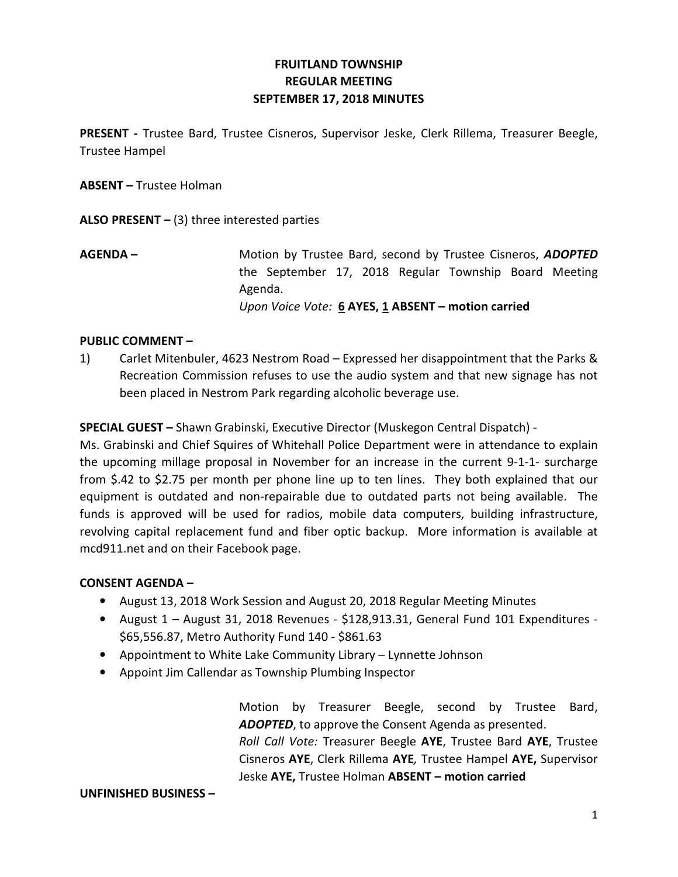# FRUITLAND TOWNSHIP REGULAR MEETING SEPTEMBER 17, 2018 MINUTES

PRESENT - Trustee Bard, Trustee Cisneros, Supervisor Jeske, Clerk Rillema, Treasurer Beegle, Trustee Hampel

ABSENT – Trustee Holman

ALSO PRESENT  $-$  (3) three interested parties

AGENDA – Motion by Trustee Bard, second by Trustee Cisneros, ADOPTED the September 17, 2018 Regular Township Board Meeting Agenda. Upon Voice Vote: 6 AYES, 1 ABSENT – motion carried

## PUBLIC COMMENT –

1) Carlet Mitenbuler, 4623 Nestrom Road – Expressed her disappointment that the Parks & Recreation Commission refuses to use the audio system and that new signage has not been placed in Nestrom Park regarding alcoholic beverage use.

SPECIAL GUEST – Shawn Grabinski, Executive Director (Muskegon Central Dispatch) -

Ms. Grabinski and Chief Squires of Whitehall Police Department were in attendance to explain the upcoming millage proposal in November for an increase in the current 9-1-1- surcharge from \$.42 to \$2.75 per month per phone line up to ten lines. They both explained that our equipment is outdated and non-repairable due to outdated parts not being available. The funds is approved will be used for radios, mobile data computers, building infrastructure, revolving capital replacement fund and fiber optic backup. More information is available at mcd911.net and on their Facebook page.

### CONSENT AGENDA –

- August 13, 2018 Work Session and August 20, 2018 Regular Meeting Minutes
- August 1 August 31, 2018 Revenues \$128,913.31, General Fund 101 Expenditures \$65,556.87, Metro Authority Fund 140 - \$861.63
- Appointment to White Lake Community Library Lynnette Johnson
- Appoint Jim Callendar as Township Plumbing Inspector

 Motion by Treasurer Beegle, second by Trustee Bard, ADOPTED, to approve the Consent Agenda as presented. Roll Call Vote: Treasurer Beegle AYE, Trustee Bard AYE, Trustee Cisneros AYE, Clerk Rillema AYE, Trustee Hampel AYE, Supervisor Jeske AYE, Trustee Holman ABSENT – motion carried

UNFINISHED BUSINESS –